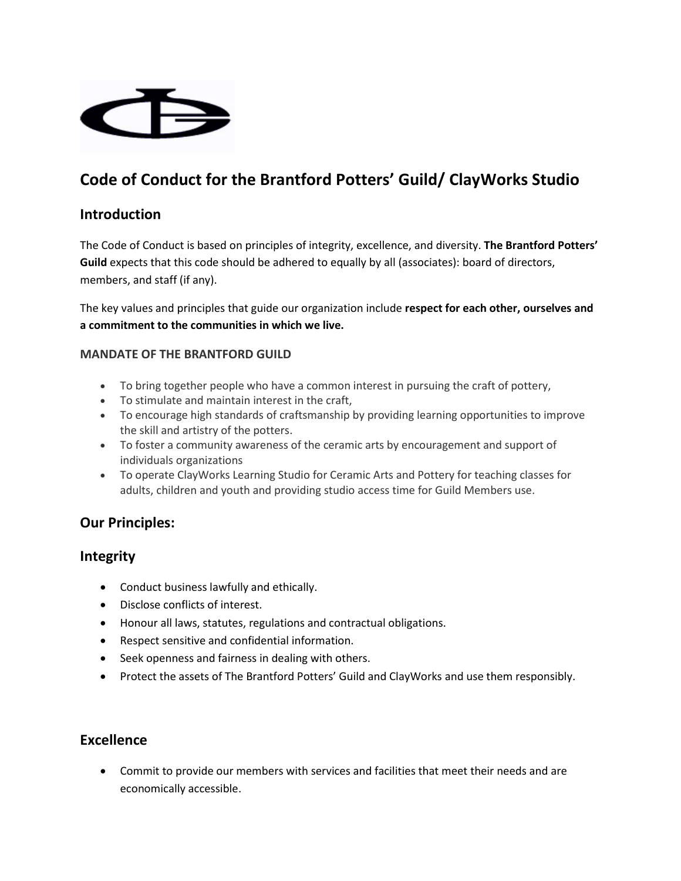

# **Code of Conduct for the Brantford Potters' Guild/ ClayWorks Studio**

### **Introduction**

The Code of Conduct is based on principles of integrity, excellence, and diversity. **The Brantford Potters' Guild** expects that this code should be adhered to equally by all (associates): board of directors, members, and staff (if any).

The key values and principles that guide our organization include **respect for each other, ourselves and a commitment to the communities in which we live.**

#### **MANDATE OF THE BRANTFORD GUILD**

- To bring together people who have a common interest in pursuing the craft of pottery,
- To stimulate and maintain interest in the craft,
- To encourage high standards of craftsmanship by providing learning opportunities to improve the skill and artistry of the potters.
- To foster a community awareness of the ceramic arts by encouragement and support of individuals organizations
- To operate ClayWorks Learning Studio for Ceramic Arts and Pottery for teaching classes for adults, children and youth and providing studio access time for Guild Members use.

# **Our Principles:**

### **Integrity**

- Conduct business lawfully and ethically.
- Disclose conflicts of interest.
- Honour all laws, statutes, regulations and contractual obligations.
- Respect sensitive and confidential information.
- Seek openness and fairness in dealing with others.
- Protect the assets of The Brantford Potters' Guild and ClayWorks and use them responsibly.

### **Excellence**

 Commit to provide our members with services and facilities that meet their needs and are economically accessible.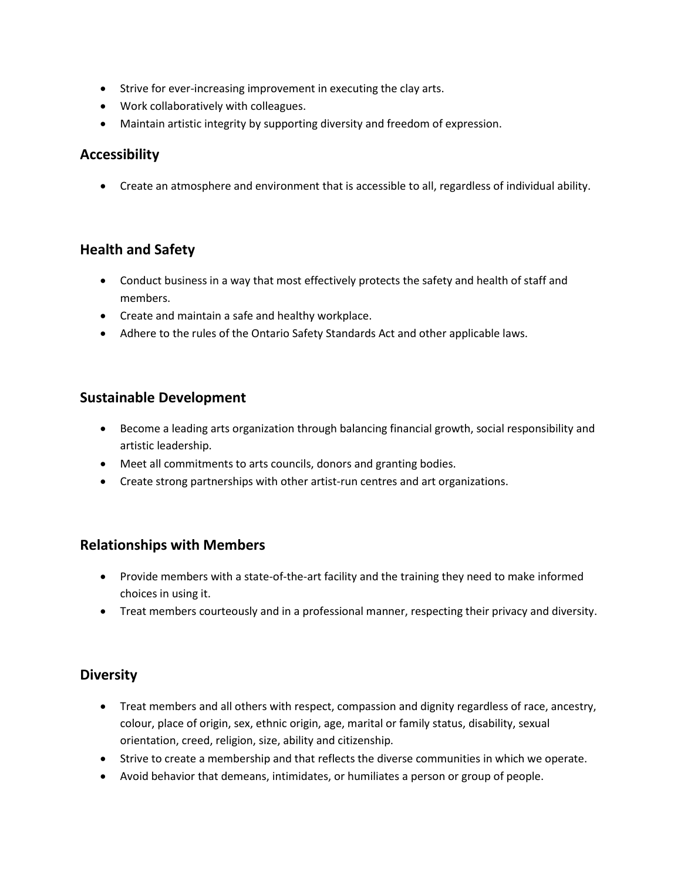- Strive for ever-increasing improvement in executing the clay arts.
- Work collaboratively with colleagues.
- Maintain artistic integrity by supporting diversity and freedom of expression.

### **Accessibility**

Create an atmosphere and environment that is accessible to all, regardless of individual ability.

# **Health and Safety**

- Conduct business in a way that most effectively protects the safety and health of staff and members.
- Create and maintain a safe and healthy workplace.
- Adhere to the rules of the Ontario Safety Standards Act and other applicable laws.

### **Sustainable Development**

- Become a leading arts organization through balancing financial growth, social responsibility and artistic leadership.
- Meet all commitments to arts councils, donors and granting bodies.
- Create strong partnerships with other artist-run centres and art organizations.

# **Relationships with Members**

- Provide members with a state-of-the-art facility and the training they need to make informed choices in using it.
- Treat members courteously and in a professional manner, respecting their privacy and diversity.

# **Diversity**

- Treat members and all others with respect, compassion and dignity regardless of race, ancestry, colour, place of origin, sex, ethnic origin, age, marital or family status, disability, sexual orientation, creed, religion, size, ability and citizenship.
- Strive to create a membership and that reflects the diverse communities in which we operate.
- Avoid behavior that demeans, intimidates, or humiliates a person or group of people.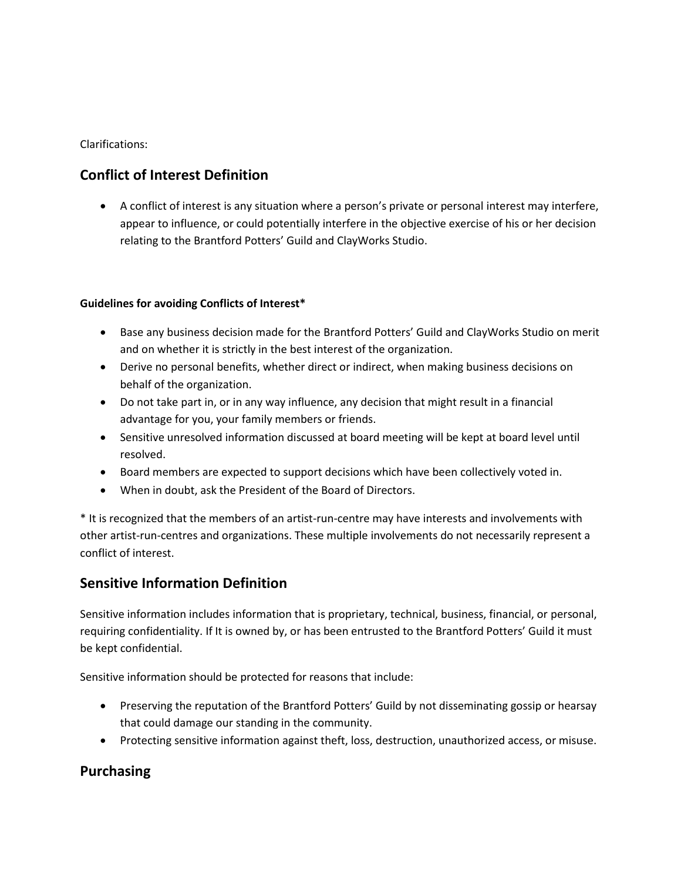Clarifications:

# **Conflict of Interest Definition**

 A conflict of interest is any situation where a person's private or personal interest may interfere, appear to influence, or could potentially interfere in the objective exercise of his or her decision relating to the Brantford Potters' Guild and ClayWorks Studio.

#### **Guidelines for avoiding Conflicts of Interest\***

- Base any business decision made for the Brantford Potters' Guild and ClayWorks Studio on merit and on whether it is strictly in the best interest of the organization.
- Derive no personal benefits, whether direct or indirect, when making business decisions on behalf of the organization.
- Do not take part in, or in any way influence, any decision that might result in a financial advantage for you, your family members or friends.
- Sensitive unresolved information discussed at board meeting will be kept at board level until resolved.
- Board members are expected to support decisions which have been collectively voted in.
- When in doubt, ask the President of the Board of Directors.

\* It is recognized that the members of an artist-run-centre may have interests and involvements with other artist-run-centres and organizations. These multiple involvements do not necessarily represent a conflict of interest.

# **Sensitive Information Definition**

Sensitive information includes information that is proprietary, technical, business, financial, or personal, requiring confidentiality. If It is owned by, or has been entrusted to the Brantford Potters' Guild it must be kept confidential.

Sensitive information should be protected for reasons that include:

- Preserving the reputation of the Brantford Potters' Guild by not disseminating gossip or hearsay that could damage our standing in the community.
- Protecting sensitive information against theft, loss, destruction, unauthorized access, or misuse.

# **Purchasing**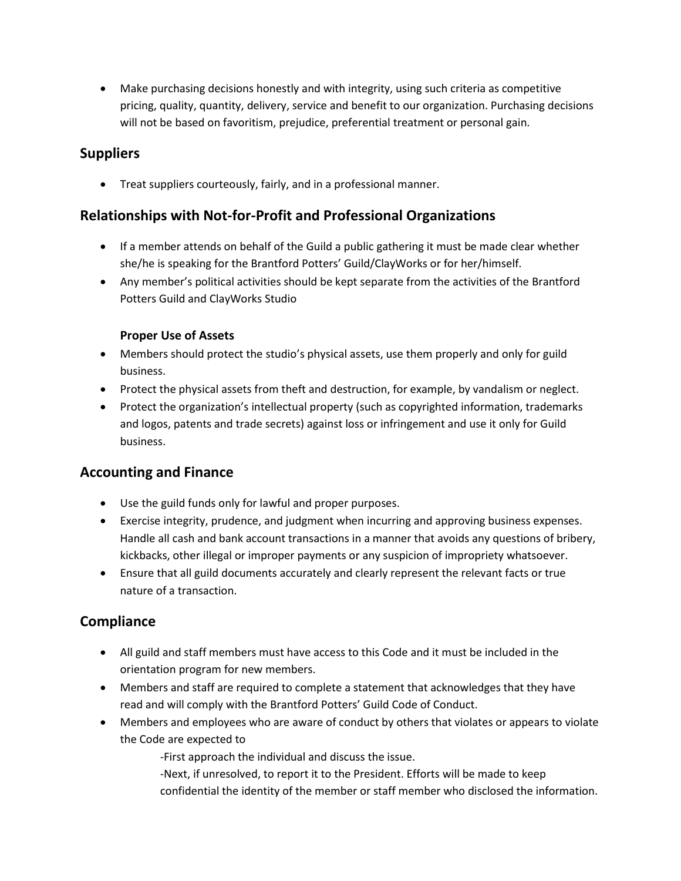Make purchasing decisions honestly and with integrity, using such criteria as competitive pricing, quality, quantity, delivery, service and benefit to our organization. Purchasing decisions will not be based on favoritism, prejudice, preferential treatment or personal gain.

# **Suppliers**

Treat suppliers courteously, fairly, and in a professional manner.

# **Relationships with Not-for-Profit and Professional Organizations**

- If a member attends on behalf of the Guild a public gathering it must be made clear whether she/he is speaking for the Brantford Potters' Guild/ClayWorks or for her/himself.
- Any member's political activities should be kept separate from the activities of the Brantford Potters Guild and ClayWorks Studio

### **Proper Use of Assets**

- Members should protect the studio's physical assets, use them properly and only for guild business.
- Protect the physical assets from theft and destruction, for example, by vandalism or neglect.
- Protect the organization's intellectual property (such as copyrighted information, trademarks and logos, patents and trade secrets) against loss or infringement and use it only for Guild business.

# **Accounting and Finance**

- Use the guild funds only for lawful and proper purposes.
- Exercise integrity, prudence, and judgment when incurring and approving business expenses. Handle all cash and bank account transactions in a manner that avoids any questions of bribery, kickbacks, other illegal or improper payments or any suspicion of impropriety whatsoever.
- Ensure that all guild documents accurately and clearly represent the relevant facts or true nature of a transaction.

# **Compliance**

- All guild and staff members must have access to this Code and it must be included in the orientation program for new members.
- Members and staff are required to complete a statement that acknowledges that they have read and will comply with the Brantford Potters' Guild Code of Conduct.
- Members and employees who are aware of conduct by others that violates or appears to violate the Code are expected to

-First approach the individual and discuss the issue.

-Next, if unresolved, to report it to the President. Efforts will be made to keep confidential the identity of the member or staff member who disclosed the information.